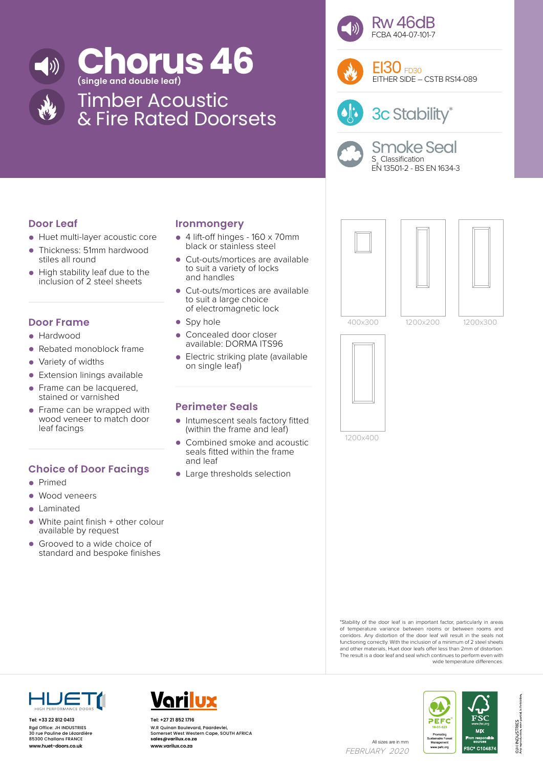

# **Concept 16 Concept 16**



## Timber Acoustic & Fire Rated Doorsets

**Ironmongery**

and handles

on single leaf)

**Perimeter Seals**

and leaf

• Spy hole

• 4 lift-off hinges - 160 x 70mm black or stainless steel

• Cut-outs/mortices are available to suit a variety of locks

• Cut-outs/mortices are available to suit a large choice of electromagnetic lock

• Intumescent seals factory fitted (within the frame and leaf) • Combined smoke and acoustic seals fitted within the frame

• Large thresholds selection

Concealed door closer available: DORMA ITS96 • Electric striking plate (available





 $E$ I30  $F<sub>D30</sub>$ EITHER SIDE – CSTB RS14-089



3c Stability\*



400x300 1200x200 1200x300



1200x400





- Huet multi-layer acoustic core
- Thickness: 51mm hardwood stiles all round
- High stability leaf due to the inclusion of 2 steel sheets

#### **Door Frame**

- Hardwood
- Rebated monoblock frame
- Variety of widths
- Extension linings available
- Frame can be lacquered. stained or varnished
- Frame can be wrapped with wood veneer to match door leaf facings

### **Choice of Door Facings**

- Primed
- Wood veneers
- Laminated
- White paint finish + other colour available by request
- Grooved to a wide choice of standard and bespoke finishes

\*Stability of the door leaf is an important factor, particularly in areas of temperature variance between rooms or between rooms and corridors. Any distortion of the door leaf will result in the seals not functioning correctly. With the inclusion of a minimum of 2 steel sheets and other materials, Huet door leafs offer less than 2mm of distortion. The result is a door leaf and seal which continues to perform even with wide temperature differences.



**Tel: +33 22 812 0413** Rgd Office: JH INDUSTRIES 30 rue Pauline de Lézardière 85300 Challans FRANCE



All sizes are in mm<br>**www.huet-doors.co.uk www.varilux.co.za** All sizes are in mm **Tel: +27 21 852 1716** W.R Quinan Boulevard, Paardevlei, Somerset West Western Cape, SOUTH AFRICA **sales@varilux.co.za www.varilux.co.za**

FEBRUARY 2020